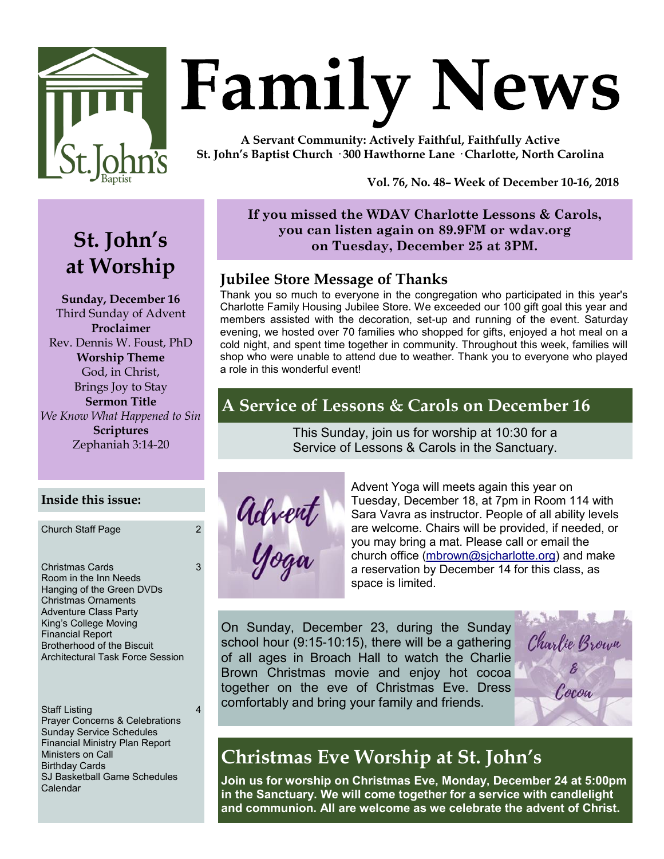

# **Family News**

**A Servant Community: Actively Faithful, Faithfully Active St. John's Baptist Church · 300 Hawthorne Lane · Charlotte, North Carolina**

**Vol. 76, No. 48– Week of December 10-16, 2018** 

# **St. John's at Worship**

**Sunday, December 16** Third Sunday of Advent **Proclaimer** Rev. Dennis W. Foust, PhD **Worship Theme** God, in Christ, Brings Joy to Stay **Sermon Title** *We Know What Happened to Sin* **Scriptures** Zephaniah 3:14-20

### **If you missed the WDAV Charlotte Lessons & Carols, you can listen again on 89.9FM or wdav.org on Tuesday, December 25 at 3PM.**

# **Jubilee Store Message of Thanks**

Thank you so much to everyone in the congregation who participated in this year's Charlotte Family Housing Jubilee Store. We exceeded our 100 gift goal this year and members assisted with the decoration, set-up and running of the event. Saturday evening, we hosted over 70 families who shopped for gifts, enjoyed a hot meal on a cold night, and spent time together in community. Throughout this week, families will shop who were unable to attend due to weather. Thank you to everyone who played a role in this wonderful event!

# **A Service of Lessons & Carols on December 16**

This Sunday, join us for worship at 10:30 for a Service of Lessons & Carols in the Sanctuary.



Advent Yoga will meets again this year on Tuesday, December 18, at 7pm in Room 114 with Sara Vavra as instructor. People of all ability levels are welcome. Chairs will be provided, if needed, or you may bring a mat. Please call or email the church office [\(mbrown@sjcharlotte.org\)](mailto:mbrown@sjcharlotte.org) and make a reservation by December 14 for this class, as space is limited.

On Sunday, December 23, during the Sunday school hour (9:15-10:15), there will be a gathering of all ages in Broach Hall to watch the Charlie Brown Christmas movie and enjoy hot cocoa together on the eve of Christmas Eve. Dress comfortably and bring your family and friends.



# **Christmas Eve Worship at St. John's**

**Join us for worship on Christmas Eve, Monday, December 24 at 5:00pm in the Sanctuary. We will come together for a service with candlelight and communion. All are welcome as we celebrate the advent of Christ.**

### **Inside this issue:**

Church Staff Page 2

3

4

Christmas Cards Room in the Inn Needs Hanging of the Green DVDs Christmas Ornaments Adventure Class Party King's College Moving Financial Report Brotherhood of the Biscuit Architectural Task Force Session

Staff Listing Prayer Concerns & Celebrations Sunday Service Schedules Financial Ministry Plan Report Ministers on Call Birthday Cards SJ Basketball Game Schedules Calendar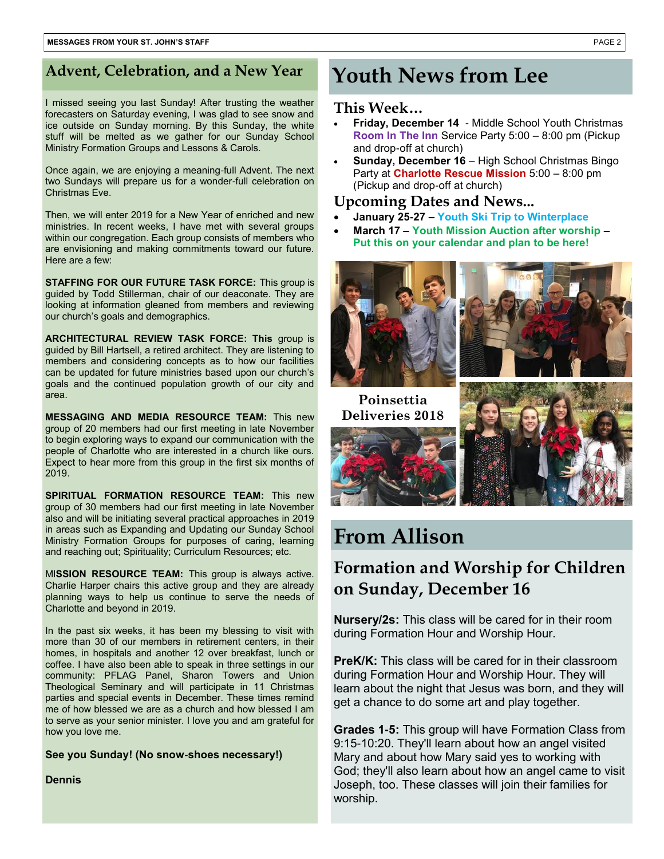# Advent, Celebration, and a New Year **Youth News from Lee**

I missed seeing you last Sunday! After trusting the weather forecasters on Saturday evening, I was glad to see snow and ice outside on Sunday morning. By this Sunday, the white stuff will be melted as we gather for our Sunday School Ministry Formation Groups and Lessons & Carols.

Once again, we are enjoying a meaning-full Advent. The next two Sundays will prepare us for a wonder-full celebration on Christmas Eve.

Then, we will enter 2019 for a New Year of enriched and new ministries. In recent weeks, I have met with several groups within our congregation. Each group consists of members who are envisioning and making commitments toward our future. Here are a few:

**STAFFING FOR OUR FUTURE TASK FORCE:** This group is guided by Todd Stillerman, chair of our deaconate. They are looking at information gleaned from members and reviewing our church's goals and demographics.

**ARCHITECTURAL REVIEW TASK FORCE: This** group is guided by Bill Hartsell, a retired architect. They are listening to members and considering concepts as to how our facilities can be updated for future ministries based upon our church's goals and the continued population growth of our city and area.

**MESSAGING AND MEDIA RESOURCE TEAM:** This new group of 20 members had our first meeting in late November to begin exploring ways to expand our communication with the people of Charlotte who are interested in a church like ours. Expect to hear more from this group in the first six months of 2019.

**SPIRITUAL FORMATION RESOURCE TEAM:** This new group of 30 members had our first meeting in late November also and will be initiating several practical approaches in 2019 in areas such as Expanding and Updating our Sunday School Ministry Formation Groups for purposes of caring, learning and reaching out; Spirituality; Curriculum Resources; etc.

MI**SSION RESOURCE TEAM:** This group is always active. Charlie Harper chairs this active group and they are already planning ways to help us continue to serve the needs of Charlotte and beyond in 2019.

In the past six weeks, it has been my blessing to visit with more than 30 of our members in retirement centers, in their homes, in hospitals and another 12 over breakfast, lunch or coffee. I have also been able to speak in three settings in our community: PFLAG Panel, Sharon Towers and Union Theological Seminary and will participate in 11 Christmas parties and special events in December. These times remind me of how blessed we are as a church and how blessed I am to serve as your senior minister. I love you and am grateful for how you love me.

**See you Sunday! (No snow-shoes necessary!)**

### **Dennis**

### **This Week…**

- **Friday, December 14**  Middle School Youth Christmas **Room In The Inn** Service Party 5:00 – 8:00 pm (Pickup and drop-off at church)
- **Sunday, December 16**  High School Christmas Bingo Party at **Charlotte Rescue Mission** 5:00 – 8:00 pm (Pickup and drop-off at church)

### **Upcoming Dates and News...**

- **January 25-27 – Youth Ski Trip to Winterplace**
- **March 17 – Youth Mission Auction after worship – Put this on your calendar and plan to be here!**





**Poinsettia Deliveries 2018**





# **From Allison**

# **Formation and Worship for Children on Sunday, December 16**

**Nursery/2s:** This class will be cared for in their room during Formation Hour and Worship Hour.

PreK/K: This class will be cared for in their classroom during Formation Hour and Worship Hour. They will learn about the night that Jesus was born, and they will get a chance to do some art and play together.

**Grades 1-5:** This group will have Formation Class from 9:15-10:20. They'll learn about how an angel visited Mary and about how Mary said yes to working with God; they'll also learn about how an angel came to visit Joseph, too. These classes will join their families for worship.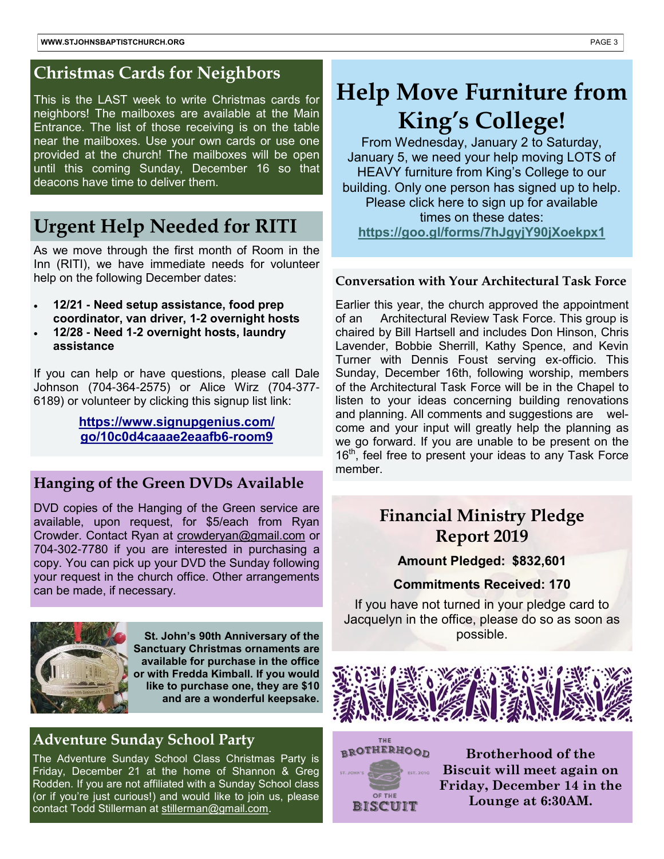### **Christmas Cards for Neighbors**

This is the LAST week to write Christmas cards for neighbors! The mailboxes are available at the Main Entrance. The list of those receiving is on the table near the mailboxes. Use your own cards or use one provided at the church! The mailboxes will be open until this coming Sunday, December 16 so that deacons have time to deliver them.

# **Urgent Help Needed for RITI**

As we move through the first month of Room in the Inn (RITI), we have immediate needs for volunteer help on the following December dates:

- **12/21 - Need setup assistance, food prep coordinator, van driver, 1-2 overnight hosts**
- **12/28 - Need 1-2 overnight hosts, laundry assistance**

If you can help or have questions, please call Dale Johnson (704-364-2575) or Alice Wirz (704-377- 6189) or volunteer by clicking this signup list link:

> **[https://www.signupgenius.com/](https://www.signupgenius.com/go/10c0d4caaae2eaafb6-room9.) [go/10c0d4caaae2eaafb6-room9](https://www.signupgenius.com/go/10c0d4caaae2eaafb6-room9.)**

### **Hanging of the Green DVDs Available**

DVD copies of the Hanging of the Green service are available, upon request, for \$5/each from Ryan Crowder. Contact Ryan at [crowderyan@gmail.com](mailto:crowderyan@gmail.com) or 704-302-7780 if you are interested in purchasing a copy. You can pick up your DVD the Sunday following your request in the church office. Other arrangements can be made, if necessary.



**St. John's 90th Anniversary of the Sanctuary Christmas ornaments are available for purchase in the office or with Fredda Kimball. If you would like to purchase one, they are \$10 and are a wonderful keepsake.**

### **Adventure Sunday School Party**

The Adventure Sunday School Class Christmas Party is Friday, December 21 at the home of Shannon & Greg Rodden. If you are not affiliated with a Sunday School class (or if you're just curious!) and would like to join us, please contact Todd Stillerman at [stillerman@gmail.com.](mailto:stillerman@gmail.com)

# **Help Move Furniture from King's College!**

From Wednesday, January 2 to Saturday, January 5, we need your help moving LOTS of HEAVY furniture from King's College to our building. Only one person has signed up to help. Please click here to sign up for available times on these dates: **<https://goo.gl/forms/7hJgyjY90jXoekpx1>**

### **Conversation with Your Architectural Task Force**

Earlier this year, the church approved the appointment of an Architectural Review Task Force. This group is chaired by Bill Hartsell and includes Don Hinson, Chris Lavender, Bobbie Sherrill, Kathy Spence, and Kevin Turner with Dennis Foust serving ex-officio. This Sunday, December 16th, following worship, members of the Architectural Task Force will be in the Chapel to listen to your ideas concerning building renovations and planning. All comments and suggestions are welcome and your input will greatly help the planning as we go forward. If you are unable to be present on the 16<sup>th</sup>, feel free to present your ideas to any Task Force member.

# **Financial Ministry Pledge Report 2019**

**Amount Pledged: \$832,601**

### **Commitments Received: 170**

If you have not turned in your pledge card to Jacquelyn in the office, please do so as soon as possible.



**BROTHERHOOD** OF THE BISCUIT

THE

**Brotherhood of the Biscuit will meet again on Friday, December 14 in the Lounge at 6:30AM.**